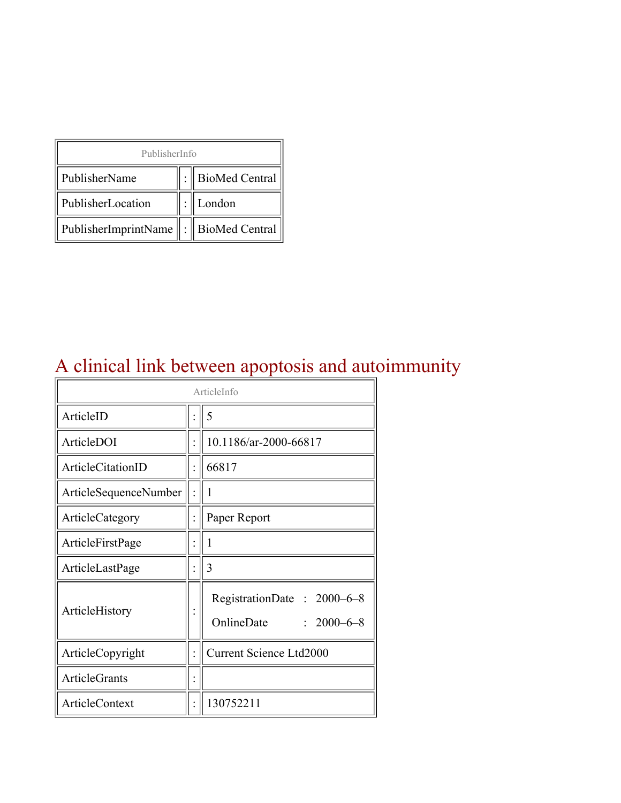| PublisherInfo                                   |  |                    |  |  |
|-------------------------------------------------|--|--------------------|--|--|
| PublisherName                                   |  | :   BioMed Central |  |  |
| PublisherLocation                               |  | London             |  |  |
| PublisherImprintName $\ \cdot\ $ BioMed Central |  |                    |  |  |

# A clinical link between apoptosis and autoimmunity

| ArticleInfo                  |                |                                                              |  |
|------------------------------|----------------|--------------------------------------------------------------|--|
| ArticleID                    |                | 5                                                            |  |
| ArticleDOI                   |                | 10.1186/ar-2000-66817                                        |  |
| ArticleCitationID            |                | 66817                                                        |  |
| <b>ArticleSequenceNumber</b> |                | 1                                                            |  |
| ArticleCategory              | $\ddot{\cdot}$ | Paper Report                                                 |  |
| ArticleFirstPage             |                | 1                                                            |  |
| ArticleLastPage              |                | 3                                                            |  |
| ArticleHistory               |                | RegistrationDate: 2000–6–8<br>OnlineDate<br>$: 2000 - 6 - 8$ |  |
| ArticleCopyright             | $\ddot{\cdot}$ | <b>Current Science Ltd2000</b>                               |  |
| <b>ArticleGrants</b>         |                |                                                              |  |
| <b>ArticleContext</b>        |                | 130752211                                                    |  |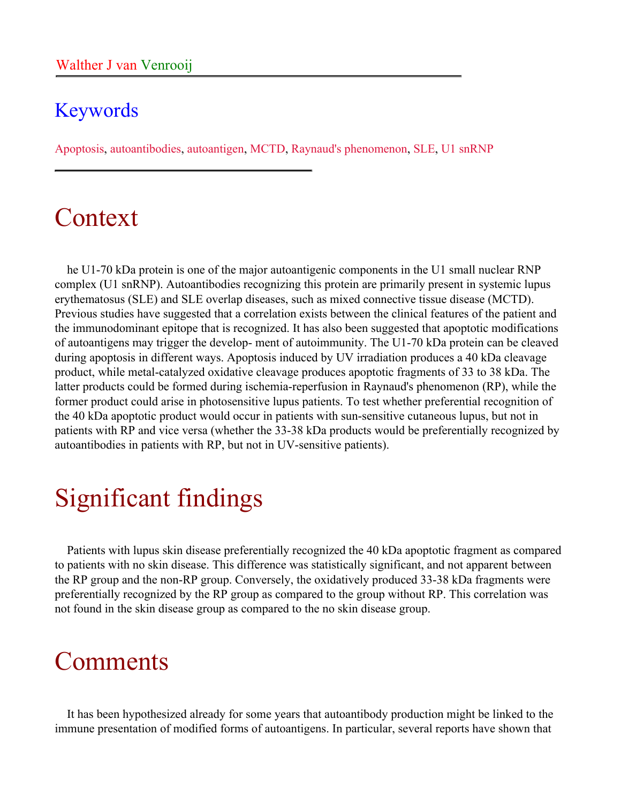#### Keywords

Apoptosis, autoantibodies, autoantigen, MCTD, Raynaud's phenomenon, SLE, U1 snRNP

### Context

he U1-70 kDa protein is one of the major autoantigenic components in the U1 small nuclear RNP complex (U1 snRNP). Autoantibodies recognizing this protein are primarily present in systemic lupus erythematosus (SLE) and SLE overlap diseases, such as mixed connective tissue disease (MCTD). Previous studies have suggested that a correlation exists between the clinical features of the patient and the immunodominant epitope that is recognized. It has also been suggested that apoptotic modifications of autoantigens may trigger the develop- ment of autoimmunity. The U1-70 kDa protein can be cleaved during apoptosis in different ways. Apoptosis induced by UV irradiation produces a 40 kDa cleavage product, while metal-catalyzed oxidative cleavage produces apoptotic fragments of 33 to 38 kDa. The latter products could be formed during ischemia-reperfusion in Raynaud's phenomenon (RP), while the former product could arise in photosensitive lupus patients. To test whether preferential recognition of the 40 kDa apoptotic product would occur in patients with sun-sensitive cutaneous lupus, but not in patients with RP and vice versa (whether the 33-38 kDa products would be preferentially recognized by autoantibodies in patients with RP, but not in UV-sensitive patients).

# Significant findings

Patients with lupus skin disease preferentially recognized the 40 kDa apoptotic fragment as compared to patients with no skin disease. This difference was statistically significant, and not apparent between the RP group and the non-RP group. Conversely, the oxidatively produced 33-38 kDa fragments were preferentially recognized by the RP group as compared to the group without RP. This correlation was not found in the skin disease group as compared to the no skin disease group.

## Comments

It has been hypothesized already for some years that autoantibody production might be linked to the immune presentation of modified forms of autoantigens. In particular, several reports have shown that